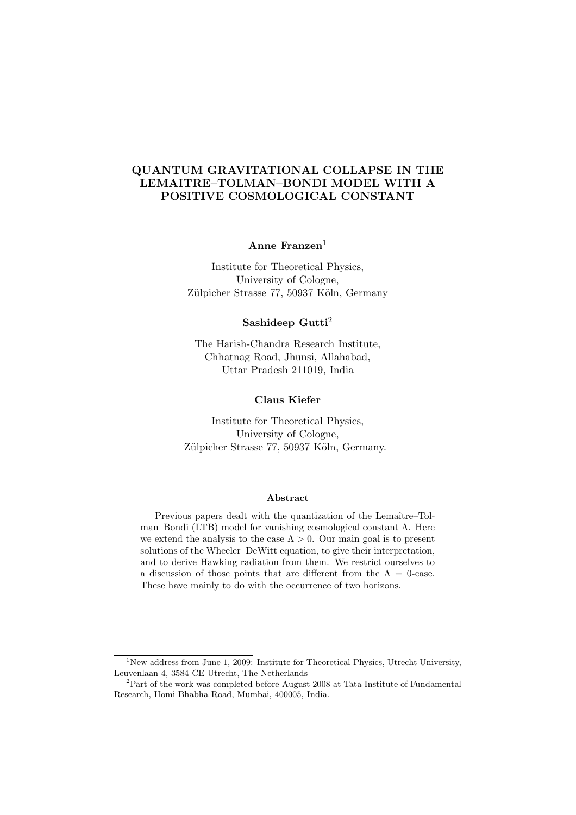## QUANTUM GRAVITATIONAL COLLAPSE IN THE LEMAITRE–TOLMAN–BONDI MODEL WITH A POSITIVE COSMOLOGICAL CONSTANT

Anne Franzen $<sup>1</sup>$ </sup>

Institute for Theoretical Physics, University of Cologne, Zülpicher Strasse 77, 50937 Köln, Germany

Sashideep Gutti<sup>2</sup>

The Harish-Chandra Research Institute, Chhatnag Road, Jhunsi, Allahabad, Uttar Pradesh 211019, India

### Claus Kiefer

Institute for Theoretical Physics, University of Cologne, Zülpicher Strasse 77, 50937 Köln, Germany.

#### Abstract

Previous papers dealt with the quantization of the Lemaître–Tolman–Bondi (LTB) model for vanishing cosmological constant  $\Lambda$ . Here we extend the analysis to the case  $\Lambda > 0$ . Our main goal is to present solutions of the Wheeler–DeWitt equation, to give their interpretation, and to derive Hawking radiation from them. We restrict ourselves to a discussion of those points that are different from the  $\Lambda = 0$ -case. These have mainly to do with the occurrence of two horizons.

<sup>&</sup>lt;sup>1</sup>New address from June 1, 2009: Institute for Theoretical Physics, Utrecht University, Leuvenlaan 4, 3584 CE Utrecht, The Netherlands

 $2$ Part of the work was completed before August 2008 at Tata Institute of Fundamental Research, Homi Bhabha Road, Mumbai, 400005, India.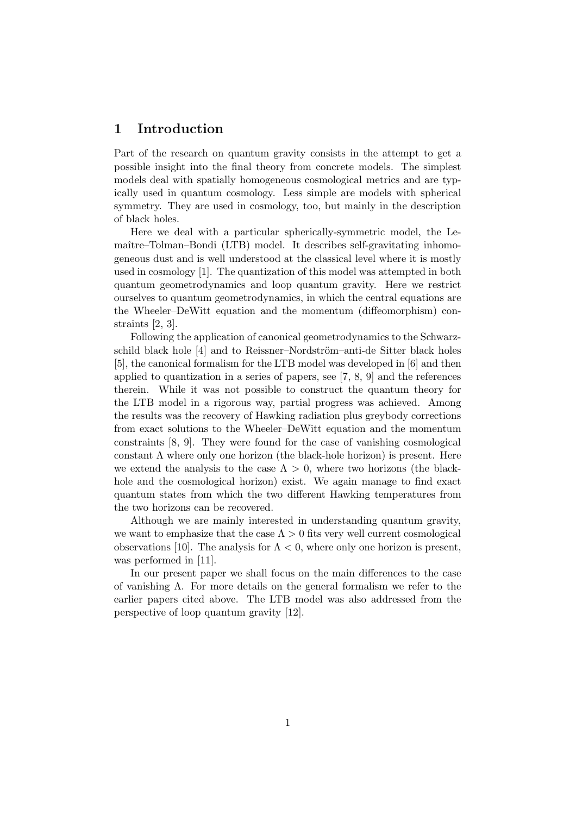## 1 Introduction

Part of the research on quantum gravity consists in the attempt to get a possible insight into the final theory from concrete models. The simplest models deal with spatially homogeneous cosmological metrics and are typically used in quantum cosmology. Less simple are models with spherical symmetry. They are used in cosmology, too, but mainly in the description of black holes.

Here we deal with a particular spherically-symmetric model, the Lemaître–Tolman–Bondi (LTB) model. It describes self-gravitating inhomogeneous dust and is well understood at the classical level where it is mostly used in cosmology [1]. The quantization of this model was attempted in both quantum geometrodynamics and loop quantum gravity. Here we restrict ourselves to quantum geometrodynamics, in which the central equations are the Wheeler–DeWitt equation and the momentum (diffeomorphism) constraints [2, 3].

Following the application of canonical geometrodynamics to the Schwarzschild black hole [4] and to Reissner–Nordström–anti-de Sitter black holes [5], the canonical formalism for the LTB model was developed in [6] and then applied to quantization in a series of papers, see [7, 8, 9] and the references therein. While it was not possible to construct the quantum theory for the LTB model in a rigorous way, partial progress was achieved. Among the results was the recovery of Hawking radiation plus greybody corrections from exact solutions to the Wheeler–DeWitt equation and the momentum constraints [8, 9]. They were found for the case of vanishing cosmological constant  $\Lambda$  where only one horizon (the black-hole horizon) is present. Here we extend the analysis to the case  $\Lambda > 0$ , where two horizons (the blackhole and the cosmological horizon) exist. We again manage to find exact quantum states from which the two different Hawking temperatures from the two horizons can be recovered.

Although we are mainly interested in understanding quantum gravity, we want to emphasize that the case  $\Lambda > 0$  fits very well current cosmological observations [10]. The analysis for  $\Lambda < 0$ , where only one horizon is present, was performed in [11].

In our present paper we shall focus on the main differences to the case of vanishing Λ. For more details on the general formalism we refer to the earlier papers cited above. The LTB model was also addressed from the perspective of loop quantum gravity [12].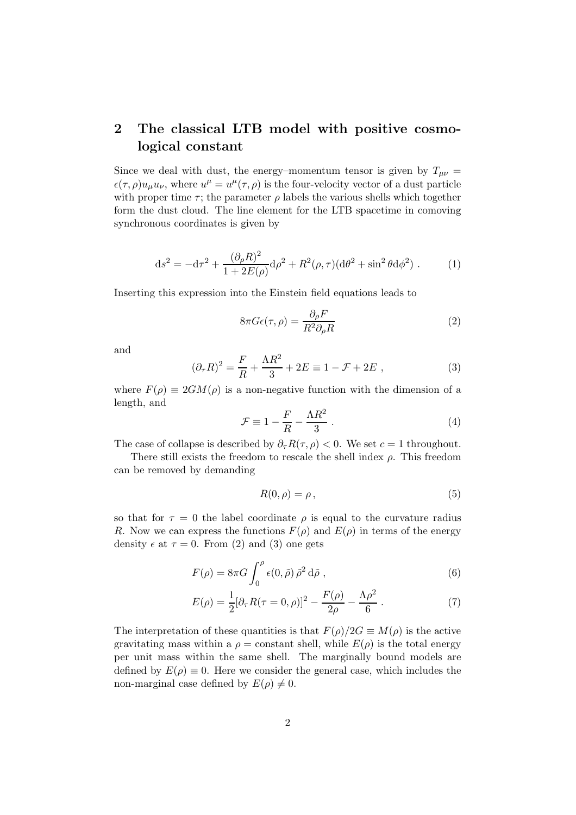# 2 The classical LTB model with positive cosmological constant

Since we deal with dust, the energy–momentum tensor is given by  $T_{\mu\nu}$  =  $\epsilon(\tau,\rho)u_{\mu}u_{\nu}$ , where  $u^{\mu}=u^{\mu}(\tau,\rho)$  is the four-velocity vector of a dust particle with proper time  $\tau$ ; the parameter  $\rho$  labels the various shells which together form the dust cloud. The line element for the LTB spacetime in comoving synchronous coordinates is given by

$$
ds^{2} = -d\tau^{2} + \frac{(\partial_{\rho}R)^{2}}{1 + 2E(\rho)}d\rho^{2} + R^{2}(\rho, \tau)(d\theta^{2} + \sin^{2}\theta d\phi^{2}).
$$
 (1)

Inserting this expression into the Einstein field equations leads to

$$
8\pi G\epsilon(\tau,\rho) = \frac{\partial_{\rho}F}{R^2 \partial_{\rho}R}
$$
 (2)

and

$$
(\partial_{\tau}R)^{2} = \frac{F}{R} + \frac{\Lambda R^{2}}{3} + 2E \equiv 1 - \mathcal{F} + 2E , \qquad (3)
$$

where  $F(\rho) \equiv 2GM(\rho)$  is a non-negative function with the dimension of a length, and

$$
\mathcal{F} \equiv 1 - \frac{F}{R} - \frac{\Lambda R^2}{3} \,. \tag{4}
$$

The case of collapse is described by  $\partial_{\tau}R(\tau,\rho) < 0$ . We set  $c = 1$  throughout.

There still exists the freedom to rescale the shell index  $\rho$ . This freedom can be removed by demanding

$$
R(0,\rho) = \rho\,,\tag{5}
$$

so that for  $\tau = 0$  the label coordinate  $\rho$  is equal to the curvature radius R. Now we can express the functions  $F(\rho)$  and  $E(\rho)$  in terms of the energy density  $\epsilon$  at  $\tau = 0$ . From (2) and (3) one gets

$$
F(\rho) = 8\pi G \int_0^{\rho} \epsilon(0,\tilde{\rho}) \tilde{\rho}^2 d\tilde{\rho} , \qquad (6)
$$

$$
E(\rho) = \frac{1}{2} [\partial_{\tau} R(\tau = 0, \rho)]^{2} - \frac{F(\rho)}{2\rho} - \frac{\Lambda \rho^{2}}{6}.
$$
 (7)

The interpretation of these quantities is that  $F(\rho)/2G \equiv M(\rho)$  is the active gravitating mass within a  $\rho = constant$  shell, while  $E(\rho)$  is the total energy per unit mass within the same shell. The marginally bound models are defined by  $E(\rho) \equiv 0$ . Here we consider the general case, which includes the non-marginal case defined by  $E(\rho) \neq 0$ .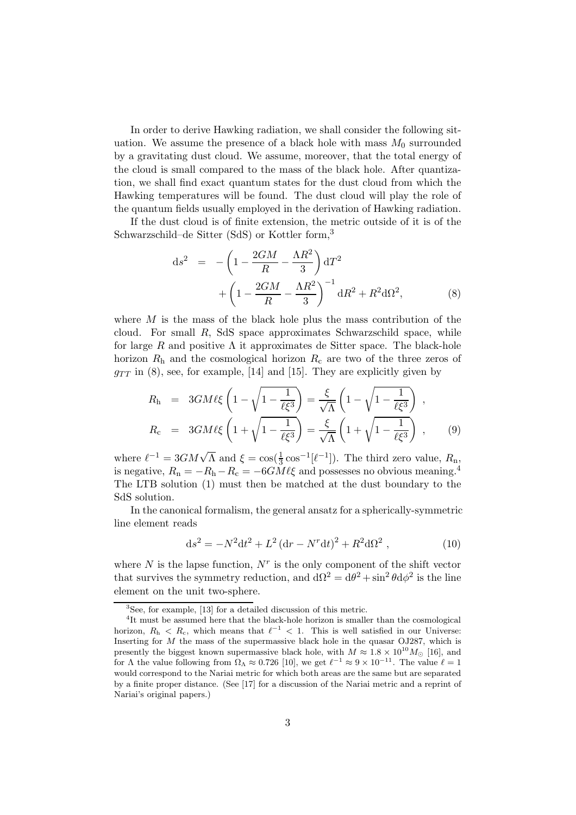In order to derive Hawking radiation, we shall consider the following situation. We assume the presence of a black hole with mass  $M_0$  surrounded by a gravitating dust cloud. We assume, moreover, that the total energy of the cloud is small compared to the mass of the black hole. After quantization, we shall find exact quantum states for the dust cloud from which the Hawking temperatures will be found. The dust cloud will play the role of the quantum fields usually employed in the derivation of Hawking radiation.

If the dust cloud is of finite extension, the metric outside of it is of the Schwarzschild–de Sitter (SdS) or Kottler form,<sup>3</sup>

$$
ds^{2} = -\left(1 - \frac{2GM}{R} - \frac{\Lambda R^{2}}{3}\right)dT^{2} + \left(1 - \frac{2GM}{R} - \frac{\Lambda R^{2}}{3}\right)^{-1}dR^{2} + R^{2}d\Omega^{2},
$$
\n(8)

where  $M$  is the mass of the black hole plus the mass contribution of the cloud. For small R, SdS space approximates Schwarzschild space, while for large R and positive  $\Lambda$  it approximates de Sitter space. The black-hole horizon  $R_h$  and the cosmological horizon  $R_c$  are two of the three zeros of  $g_{TT}$  in (8), see, for example, [14] and [15]. They are explicitly given by

$$
R_{\rm h} = 3GM\ell\xi \left(1 - \sqrt{1 - \frac{1}{\ell\xi^3}}\right) = \frac{\xi}{\sqrt{\Lambda}} \left(1 - \sqrt{1 - \frac{1}{\ell\xi^3}}\right) ,
$$
  
\n
$$
R_{\rm c} = 3GM\ell\xi \left(1 + \sqrt{1 - \frac{1}{\ell\xi^3}}\right) = \frac{\xi}{\sqrt{\Lambda}} \left(1 + \sqrt{1 - \frac{1}{\ell\xi^3}}\right) ,
$$
 (9)

where  $\ell^{-1} = 3GM\sqrt{\Lambda}$  and  $\xi = \cos(\frac{1}{3}\cos^{-1}[\ell^{-1}])$ . The third zero value,  $R_{\rm n}$ , is negative,  $R_n = -R_h - R_c = -6GM\ell\xi$  and possesses no obvious meaning.<sup>4</sup> The LTB solution (1) must then be matched at the dust boundary to the SdS solution.

In the canonical formalism, the general ansatz for a spherically-symmetric line element reads

$$
ds^{2} = -N^{2}dt^{2} + L^{2}(dr - N^{r}dt)^{2} + R^{2}d\Omega^{2} , \qquad (10)
$$

where  $N$  is the lapse function,  $N^r$  is the only component of the shift vector that survives the symmetry reduction, and  $d\Omega^2 = d\theta^2 + \sin^2 \theta d\phi^2$  is the line element on the unit two-sphere.

<sup>&</sup>lt;sup>3</sup>See, for example, [13] for a detailed discussion of this metric.

<sup>&</sup>lt;sup>4</sup>It must be assumed here that the black-hole horizon is smaller than the cosmological horizon,  $R_h < R_c$ , which means that  $\ell^{-1} < 1$ . This is well satisfied in our Universe: Inserting for  $M$  the mass of the supermassive black hole in the quasar OJ287, which is presently the biggest known supermassive black hole, with  $M \approx 1.8 \times 10^{10} M_{\odot}$  [16], and for  $\Lambda$  the value following from  $\Omega_{\Lambda} \approx 0.726$  [10], we get  $\ell^{-1} \approx 9 \times 10^{-11}$ . The value  $\ell = 1$ would correspond to the Nariai metric for which both areas are the same but are separated by a finite proper distance. (See [17] for a discussion of the Nariai metric and a reprint of Nariai's original papers.)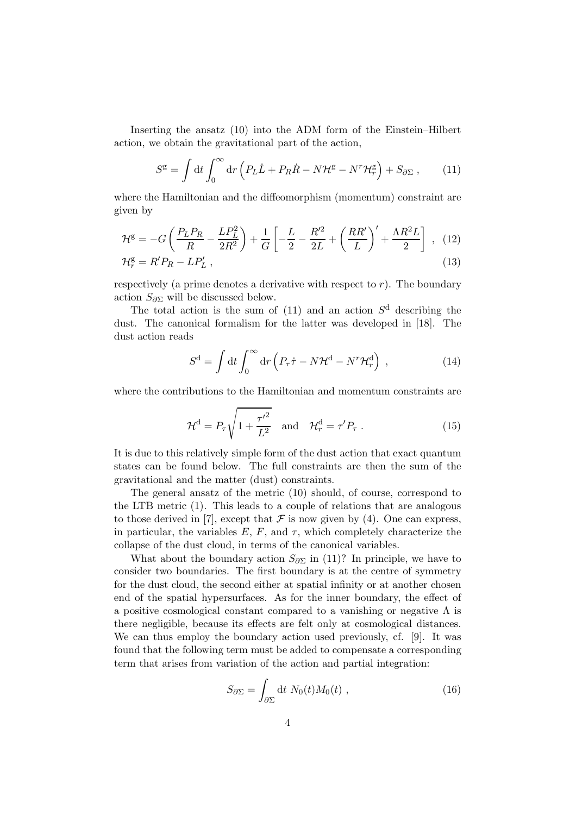Inserting the ansatz (10) into the ADM form of the Einstein–Hilbert action, we obtain the gravitational part of the action,

$$
S^{\mathsf{g}} = \int \mathrm{d}t \int_0^\infty \mathrm{d}r \left( P_L \dot{L} + P_R \dot{R} - N \mathcal{H}^{\mathsf{g}} - N^r \mathcal{H}^{\mathsf{g}}_r \right) + S_{\partial \Sigma} , \qquad (11)
$$

where the Hamiltonian and the diffeomorphism (momentum) constraint are given by

$$
\mathcal{H}^{g} = -G\left(\frac{P_{L}P_{R}}{R} - \frac{LP_{L}^{2}}{2R^{2}}\right) + \frac{1}{G}\left[-\frac{L}{2} - \frac{R'^{2}}{2L} + \left(\frac{RR'}{L}\right)' + \frac{\Lambda R^{2}L}{2}\right] , \quad (12)
$$
  

$$
\mathcal{H}_{r}^{g} = R'P_{R} - LP'_{L} ,
$$
 (13)

respectively (a prime denotes a derivative with respect to  $r$ ). The boundary action  $S_{\partial \Sigma}$  will be discussed below.

The total action is the sum of  $(11)$  and an action  $S<sup>d</sup>$  describing the dust. The canonical formalism for the latter was developed in [18]. The dust action reads

$$
S^{\mathbf{d}} = \int \mathrm{d}t \int_0^\infty \mathrm{d}r \left( P_\tau \dot{\tau} - N \mathcal{H}^{\mathbf{d}} - N^r \mathcal{H}_r^{\mathbf{d}} \right) , \qquad (14)
$$

where the contributions to the Hamiltonian and momentum constraints are

$$
\mathcal{H}^{\mathbf{d}} = P_{\tau} \sqrt{1 + \frac{\tau'^2}{L^2}} \quad \text{and} \quad \mathcal{H}_r^{\mathbf{d}} = \tau' P_{\tau} \,. \tag{15}
$$

It is due to this relatively simple form of the dust action that exact quantum states can be found below. The full constraints are then the sum of the gravitational and the matter (dust) constraints.

The general ansatz of the metric (10) should, of course, correspond to the LTB metric (1). This leads to a couple of relations that are analogous to those derived in [7], except that  $\mathcal F$  is now given by (4). One can express, in particular, the variables  $E, F$ , and  $\tau$ , which completely characterize the collapse of the dust cloud, in terms of the canonical variables.

What about the boundary action  $S_{\partial \Sigma}$  in (11)? In principle, we have to consider two boundaries. The first boundary is at the centre of symmetry for the dust cloud, the second either at spatial infinity or at another chosen end of the spatial hypersurfaces. As for the inner boundary, the effect of a positive cosmological constant compared to a vanishing or negative  $\Lambda$  is there negligible, because its effects are felt only at cosmological distances. We can thus employ the boundary action used previously, cf. [9]. It was found that the following term must be added to compensate a corresponding term that arises from variation of the action and partial integration:

$$
S_{\partial \Sigma} = \int_{\partial \Sigma} \mathrm{d}t \; N_0(t) M_0(t) \; , \tag{16}
$$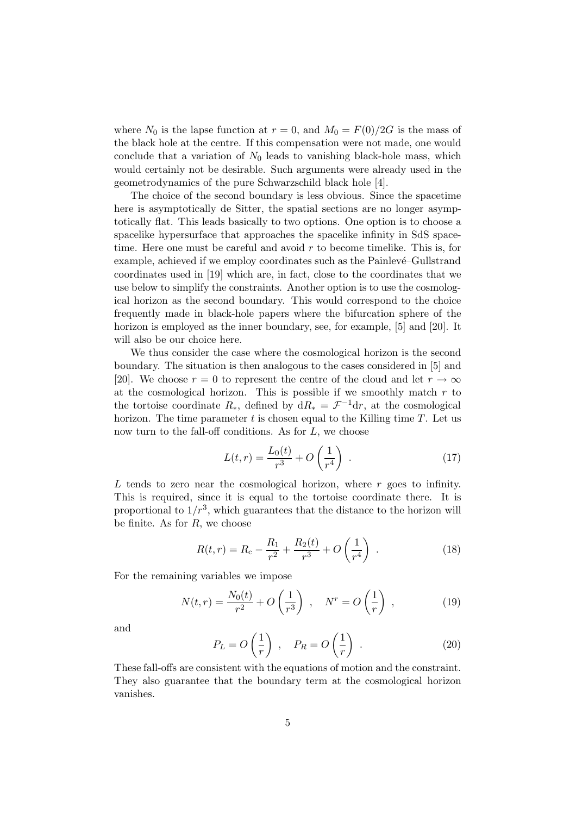where  $N_0$  is the lapse function at  $r = 0$ , and  $M_0 = F(0)/2G$  is the mass of the black hole at the centre. If this compensation were not made, one would conclude that a variation of  $N_0$  leads to vanishing black-hole mass, which would certainly not be desirable. Such arguments were already used in the geometrodynamics of the pure Schwarzschild black hole [4].

The choice of the second boundary is less obvious. Since the spacetime here is asymptotically de Sitter, the spatial sections are no longer asymptotically flat. This leads basically to two options. One option is to choose a spacelike hypersurface that approaches the spacelike infinity in SdS spacetime. Here one must be careful and avoid  $r$  to become timelike. This is, for example, achieved if we employ coordinates such as the Painlevé–Gullstrand coordinates used in [19] which are, in fact, close to the coordinates that we use below to simplify the constraints. Another option is to use the cosmological horizon as the second boundary. This would correspond to the choice frequently made in black-hole papers where the bifurcation sphere of the horizon is employed as the inner boundary, see, for example, [5] and [20]. It will also be our choice here.

We thus consider the case where the cosmological horizon is the second boundary. The situation is then analogous to the cases considered in [5] and [20]. We choose  $r = 0$  to represent the centre of the cloud and let  $r \to \infty$ at the cosmological horizon. This is possible if we smoothly match  $r$  to the tortoise coordinate  $R_*$ , defined by  $dR_* = \mathcal{F}^{-1}dr$ , at the cosmological horizon. The time parameter  $t$  is chosen equal to the Killing time  $T$ . Let us now turn to the fall-off conditions. As for  $L$ , we choose

$$
L(t,r) = \frac{L_0(t)}{r^3} + O\left(\frac{1}{r^4}\right) \tag{17}
$$

 $L$  tends to zero near the cosmological horizon, where  $r$  goes to infinity. This is required, since it is equal to the tortoise coordinate there. It is proportional to  $1/r^3$ , which guarantees that the distance to the horizon will be finite. As for  $R$ , we choose

$$
R(t,r) = R_{\rm c} - \frac{R_1}{r^2} + \frac{R_2(t)}{r^3} + O\left(\frac{1}{r^4}\right) \tag{18}
$$

For the remaining variables we impose

$$
N(t,r) = \frac{N_0(t)}{r^2} + O\left(\frac{1}{r^3}\right) , \quad N^r = O\left(\frac{1}{r}\right) , \tag{19}
$$

and

$$
P_L = O\left(\frac{1}{r}\right) , \quad P_R = O\left(\frac{1}{r}\right) . \tag{20}
$$

These fall-offs are consistent with the equations of motion and the constraint. They also guarantee that the boundary term at the cosmological horizon vanishes.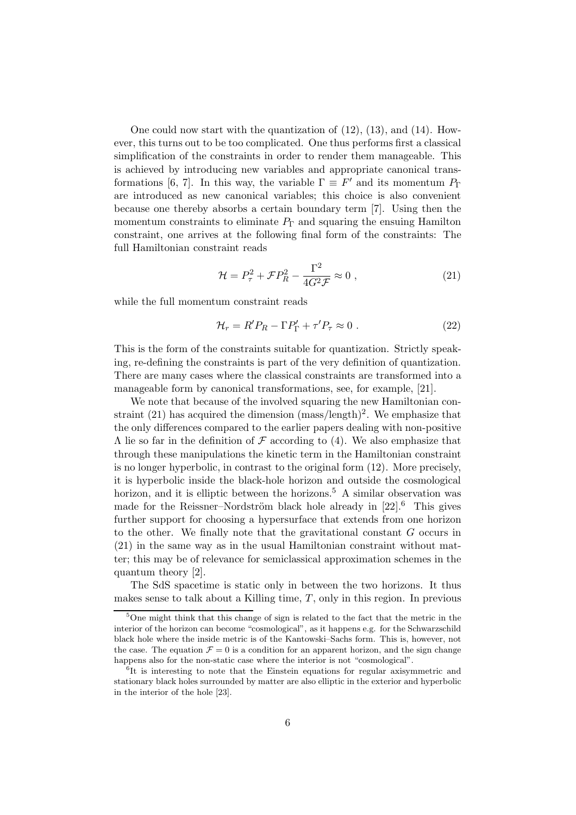One could now start with the quantization of  $(12)$ ,  $(13)$ , and  $(14)$ . However, this turns out to be too complicated. One thus performs first a classical simplification of the constraints in order to render them manageable. This is achieved by introducing new variables and appropriate canonical transformations [6, 7]. In this way, the variable  $\Gamma \equiv F'$  and its momentum  $P_{\Gamma}$ are introduced as new canonical variables; this choice is also convenient because one thereby absorbs a certain boundary term [7]. Using then the momentum constraints to eliminate  $P_{\Gamma}$  and squaring the ensuing Hamilton constraint, one arrives at the following final form of the constraints: The full Hamiltonian constraint reads

$$
\mathcal{H} = P_{\tau}^2 + \mathcal{F}P_R^2 - \frac{\Gamma^2}{4G^2 \mathcal{F}} \approx 0 , \qquad (21)
$$

while the full momentum constraint reads

$$
\mathcal{H}_r = R' P_R - \Gamma P'_\Gamma + \tau' P_\tau \approx 0 \ . \tag{22}
$$

This is the form of the constraints suitable for quantization. Strictly speaking, re-defining the constraints is part of the very definition of quantization. There are many cases where the classical constraints are transformed into a manageable form by canonical transformations, see, for example, [21].

We note that because of the involved squaring the new Hamiltonian constraint  $(21)$  has acquired the dimension  $(mass/length)^2$ . We emphasize that the only differences compared to the earlier papers dealing with non-positive  $Λ$  lie so far in the definition of  $F$  according to (4). We also emphasize that through these manipulations the kinetic term in the Hamiltonian constraint is no longer hyperbolic, in contrast to the original form (12). More precisely, it is hyperbolic inside the black-hole horizon and outside the cosmological horizon, and it is elliptic between the horizons.<sup>5</sup> A similar observation was made for the Reissner–Nordström black hole already in [22].<sup>6</sup> This gives further support for choosing a hypersurface that extends from one horizon to the other. We finally note that the gravitational constant G occurs in (21) in the same way as in the usual Hamiltonian constraint without matter; this may be of relevance for semiclassical approximation schemes in the quantum theory [2].

The SdS spacetime is static only in between the two horizons. It thus makes sense to talk about a Killing time,  $T$ , only in this region. In previous

<sup>5</sup>One might think that this change of sign is related to the fact that the metric in the interior of the horizon can become "cosmological", as it happens e.g. for the Schwarzschild black hole where the inside metric is of the Kantowski–Sachs form. This is, however, not the case. The equation  $\mathcal{F} = 0$  is a condition for an apparent horizon, and the sign change happens also for the non-static case where the interior is not "cosmological".

 $\overline{6}$ It is interesting to note that the Einstein equations for regular axisymmetric and stationary black holes surrounded by matter are also elliptic in the exterior and hyperbolic in the interior of the hole [23].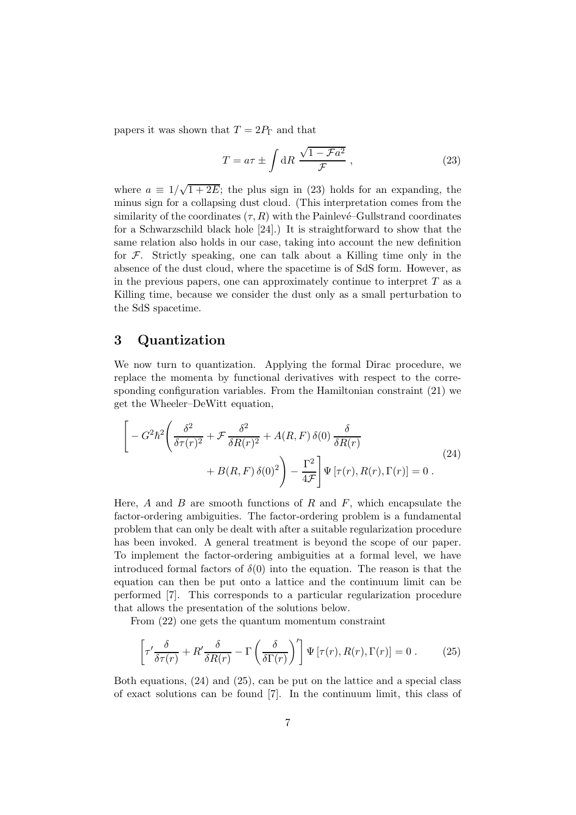papers it was shown that  $T = 2P_{\Gamma}$  and that

$$
T = a\tau \pm \int dR \frac{\sqrt{1 - Fa^2}}{\mathcal{F}}, \qquad (23)
$$

where  $a \equiv 1/\sqrt{1+2E}$ ; the plus sign in (23) holds for an expanding, the minus sign for a collapsing dust cloud. (This interpretation comes from the similarity of the coordinates  $(\tau, R)$  with the Painlevé–Gullstrand coordinates for a Schwarzschild black hole [24].) It is straightforward to show that the same relation also holds in our case, taking into account the new definition for  $\mathcal F$ . Strictly speaking, one can talk about a Killing time only in the absence of the dust cloud, where the spacetime is of SdS form. However, as in the previous papers, one can approximately continue to interpret  $T$  as a Killing time, because we consider the dust only as a small perturbation to the SdS spacetime.

## 3 Quantization

We now turn to quantization. Applying the formal Dirac procedure, we replace the momenta by functional derivatives with respect to the corresponding configuration variables. From the Hamiltonian constraint (21) we get the Wheeler–DeWitt equation,

$$
\left[ -G^2 \hbar^2 \left( \frac{\delta^2}{\delta \tau(r)^2} + \mathcal{F} \frac{\delta^2}{\delta R(r)^2} + A(R, F) \delta(0) \frac{\delta}{\delta R(r)} + B(R, F) \delta(0)^2 \right) - \frac{\Gamma^2}{4\mathcal{F}} \right] \Psi \left[ \tau(r), R(r), \Gamma(r) \right] = 0 \ .
$$
\n(24)

Here,  $A$  and  $B$  are smooth functions of  $R$  and  $F$ , which encapsulate the factor-ordering ambiguities. The factor-ordering problem is a fundamental problem that can only be dealt with after a suitable regularization procedure has been invoked. A general treatment is beyond the scope of our paper. To implement the factor-ordering ambiguities at a formal level, we have introduced formal factors of  $\delta(0)$  into the equation. The reason is that the equation can then be put onto a lattice and the continuum limit can be performed [7]. This corresponds to a particular regularization procedure that allows the presentation of the solutions below.

From (22) one gets the quantum momentum constraint

$$
\left[\tau'\frac{\delta}{\delta\tau(r)} + R'\frac{\delta}{\delta R(r)} - \Gamma\left(\frac{\delta}{\delta\Gamma(r)}\right)'\right]\Psi\left[\tau(r), R(r), \Gamma(r)\right] = 0. \tag{25}
$$

Both equations, (24) and (25), can be put on the lattice and a special class of exact solutions can be found [7]. In the continuum limit, this class of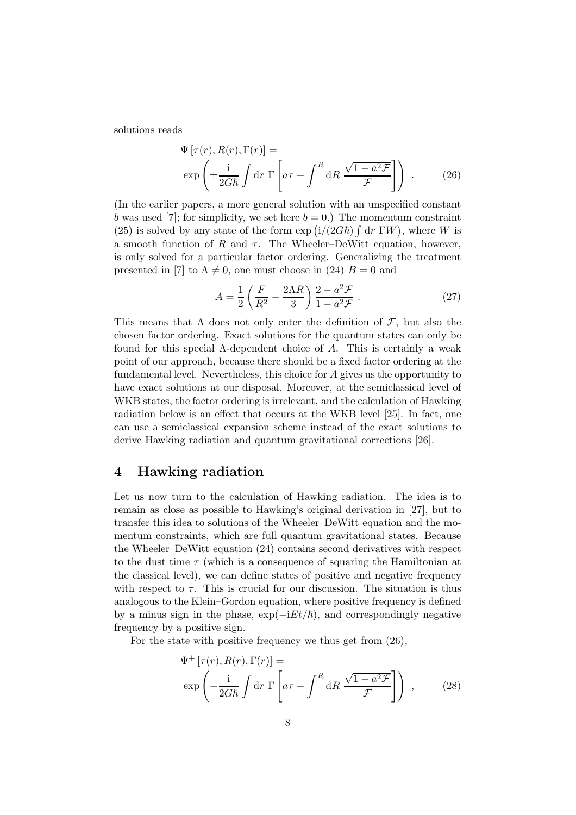solutions reads

$$
\Psi\left[\tau(r), R(r), \Gamma(r)\right] = \exp\left(\pm \frac{\mathrm{i}}{2G\hbar} \int \mathrm{d}r \, \Gamma\left[a\tau + \int^R \mathrm{d}R \, \frac{\sqrt{1-a^2\mathcal{F}}}{\mathcal{F}}\right]\right) \,. \tag{26}
$$

(In the earlier papers, a more general solution with an unspecified constant b was used [7]; for simplicity, we set here  $b = 0$ .) The momentum constraint (25) is solved by any state of the form  $\exp(i/(2G\hbar)\int dr\ \Gamma W)$ , where W is a smooth function of R and  $\tau$ . The Wheeler–DeWitt equation, however, is only solved for a particular factor ordering. Generalizing the treatment presented in [7] to  $\Lambda \neq 0$ , one must choose in (24)  $B = 0$  and

$$
A = \frac{1}{2} \left( \frac{F}{R^2} - \frac{2\Lambda R}{3} \right) \frac{2 - a^2 \mathcal{F}}{1 - a^2 \mathcal{F}} . \tag{27}
$$

This means that  $\Lambda$  does not only enter the definition of  $\mathcal{F}$ , but also the chosen factor ordering. Exact solutions for the quantum states can only be found for this special  $\Lambda$ -dependent choice of A. This is certainly a weak point of our approach, because there should be a fixed factor ordering at the fundamental level. Nevertheless, this choice for A gives us the opportunity to have exact solutions at our disposal. Moreover, at the semiclassical level of WKB states, the factor ordering is irrelevant, and the calculation of Hawking radiation below is an effect that occurs at the WKB level [25]. In fact, one can use a semiclassical expansion scheme instead of the exact solutions to derive Hawking radiation and quantum gravitational corrections [26].

## 4 Hawking radiation

Let us now turn to the calculation of Hawking radiation. The idea is to remain as close as possible to Hawking's original derivation in [27], but to transfer this idea to solutions of the Wheeler–DeWitt equation and the momentum constraints, which are full quantum gravitational states. Because the Wheeler–DeWitt equation (24) contains second derivatives with respect to the dust time  $\tau$  (which is a consequence of squaring the Hamiltonian at the classical level), we can define states of positive and negative frequency with respect to  $\tau$ . This is crucial for our discussion. The situation is thus analogous to the Klein–Gordon equation, where positive frequency is defined by a minus sign in the phase,  $\exp(-iEt/\hbar)$ , and correspondingly negative frequency by a positive sign.

For the state with positive frequency we thus get from  $(26)$ ,

$$
\Psi^+ [\tau(r), R(r), \Gamma(r)] =
$$
  
\n
$$
\exp\left(-\frac{i}{2G\hbar} \int dr \Gamma \left[a\tau + \int^R dR \frac{\sqrt{1 - a^2 \mathcal{F}}}{\mathcal{F}}\right]\right) ,
$$
\n(28)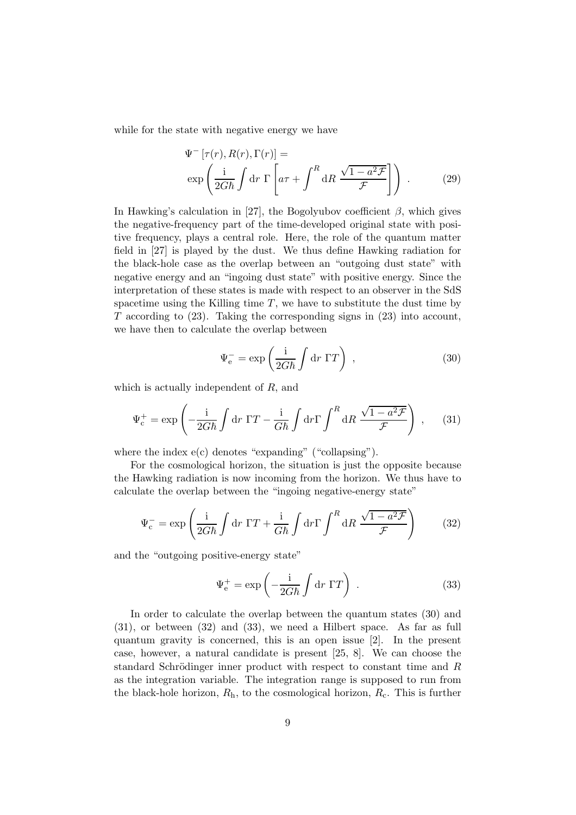while for the state with negative energy we have

$$
\Psi^{-}[\tau(r), R(r), \Gamma(r)] =
$$
  
\n
$$
\exp\left(\frac{\mathrm{i}}{2G\hbar} \int \mathrm{d}r \, \Gamma\left[a\tau + \int^{R} \mathrm{d}R \, \frac{\sqrt{1 - a^2 \mathcal{F}}}{\mathcal{F}}\right]\right) . \tag{29}
$$

In Hawking's calculation in [27], the Bogolyubov coefficient  $\beta$ , which gives the negative-frequency part of the time-developed original state with positive frequency, plays a central role. Here, the role of the quantum matter field in [27] is played by the dust. We thus define Hawking radiation for the black-hole case as the overlap between an "outgoing dust state" with negative energy and an "ingoing dust state" with positive energy. Since the interpretation of these states is made with respect to an observer in the SdS spacetime using the Killing time  $T$ , we have to substitute the dust time by  $T$  according to  $(23)$ . Taking the corresponding signs in  $(23)$  into account, we have then to calculate the overlap between

$$
\Psi_{\rm e}^- = \exp\left(\frac{\rm i}{2G\hbar} \int \mathrm{d}r \, \Gamma T\right) \;, \tag{30}
$$

which is actually independent of R, and

$$
\Psi_{\rm c}^+ = \exp\left(-\frac{\mathrm{i}}{2G\hbar} \int \mathrm{d}r \, \Gamma T - \frac{\mathrm{i}}{G\hbar} \int \mathrm{d}r \Gamma \int^R \mathrm{d}R \, \frac{\sqrt{1 - a^2 \mathcal{F}}}{\mathcal{F}}\right) \;, \tag{31}
$$

where the index  $e(c)$  denotes "expanding" ("collapsing").

For the cosmological horizon, the situation is just the opposite because the Hawking radiation is now incoming from the horizon. We thus have to calculate the overlap between the "ingoing negative-energy state"

$$
\Psi_{\rm c}^- = \exp\left(\frac{\mathrm{i}}{2G\hbar} \int \mathrm{d}r \, \Gamma T + \frac{\mathrm{i}}{G\hbar} \int \mathrm{d}r \, \Gamma \int^R \mathrm{d}R \, \frac{\sqrt{1 - a^2 \mathcal{F}}}{\mathcal{F}}\right) \tag{32}
$$

and the "outgoing positive-energy state"

$$
\Psi_{\rm e}^{+} = \exp\left(-\frac{\mathrm{i}}{2G\hbar} \int \mathrm{d}r \, \Gamma T\right) \,. \tag{33}
$$

In order to calculate the overlap between the quantum states (30) and (31), or between (32) and (33), we need a Hilbert space. As far as full quantum gravity is concerned, this is an open issue [2]. In the present case, however, a natural candidate is present [25, 8]. We can choose the standard Schrödinger inner product with respect to constant time and R as the integration variable. The integration range is supposed to run from the black-hole horizon,  $R_h$ , to the cosmological horizon,  $R_c$ . This is further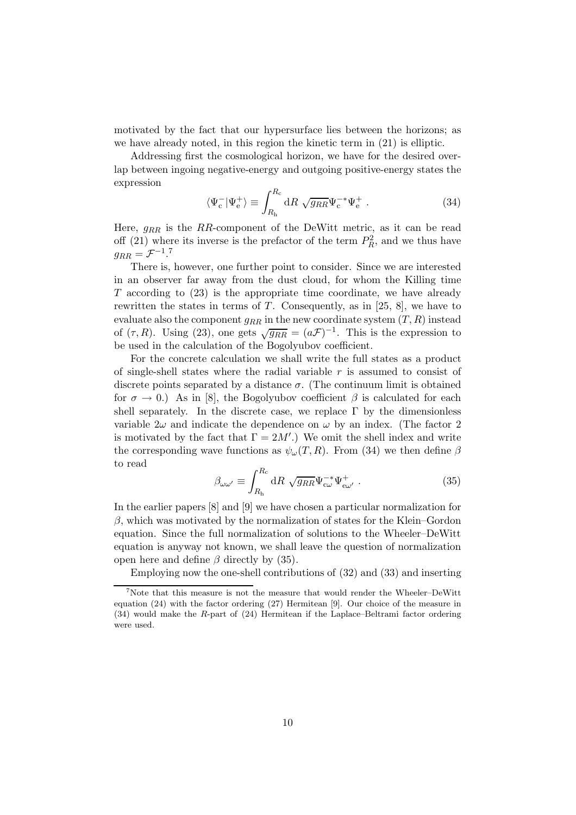motivated by the fact that our hypersurface lies between the horizons; as we have already noted, in this region the kinetic term in (21) is elliptic.

Addressing first the cosmological horizon, we have for the desired overlap between ingoing negative-energy and outgoing positive-energy states the expression

$$
\langle \Psi_c^- | \Psi_e^+ \rangle \equiv \int_{R_{\rm h}}^{R_{\rm c}} dR \sqrt{g_{RR}} \Psi_c^{-*} \Psi_e^+ \ . \tag{34}
$$

Here,  $g_{RR}$  is the RR-component of the DeWitt metric, as it can be read off (21) where its inverse is the prefactor of the term  $P_R^2$ , and we thus have  $g_{RR} = \mathcal{F}^{-1}$ .<sup>7</sup>

There is, however, one further point to consider. Since we are interested in an observer far away from the dust cloud, for whom the Killing time T according to (23) is the appropriate time coordinate, we have already rewritten the states in terms of T. Consequently, as in  $[25, 8]$ , we have to evaluate also the component  $g_{RR}$  in the new coordinate system  $(T, R)$  instead of  $(\tau, R)$ . Using (23), one gets  $\sqrt{g_{RR}} = (a\mathcal{F})^{-1}$ . This is the expression to be used in the calculation of the Bogolyubov coefficient.

For the concrete calculation we shall write the full states as a product of single-shell states where the radial variable  $r$  is assumed to consist of discrete points separated by a distance  $\sigma$ . (The continuum limit is obtained for  $\sigma \to 0$ .) As in [8], the Bogolyubov coefficient  $\beta$  is calculated for each shell separately. In the discrete case, we replace  $\Gamma$  by the dimensionless variable  $2\omega$  and indicate the dependence on  $\omega$  by an index. (The factor 2) is motivated by the fact that  $\Gamma = 2M'$ .) We omit the shell index and write the corresponding wave functions as  $\psi_\omega(T,R)$ . From (34) we then define  $\beta$ to read

$$
\beta_{\omega\omega'} \equiv \int_{R_{\rm h}}^{R_{\rm c}} dR \sqrt{g_{RR}} \Psi_{c\omega}^{-*} \Psi_{e\omega'}^{+} . \qquad (35)
$$

In the earlier papers [8] and [9] we have chosen a particular normalization for  $\beta$ , which was motivated by the normalization of states for the Klein–Gordon equation. Since the full normalization of solutions to the Wheeler–DeWitt equation is anyway not known, we shall leave the question of normalization open here and define  $\beta$  directly by (35).

Employing now the one-shell contributions of (32) and (33) and inserting

<sup>&</sup>lt;sup>7</sup>Note that this measure is not the measure that would render the Wheeler–DeWitt equation (24) with the factor ordering (27) Hermitean [9]. Our choice of the measure in (34) would make the R-part of (24) Hermitean if the Laplace–Beltrami factor ordering were used.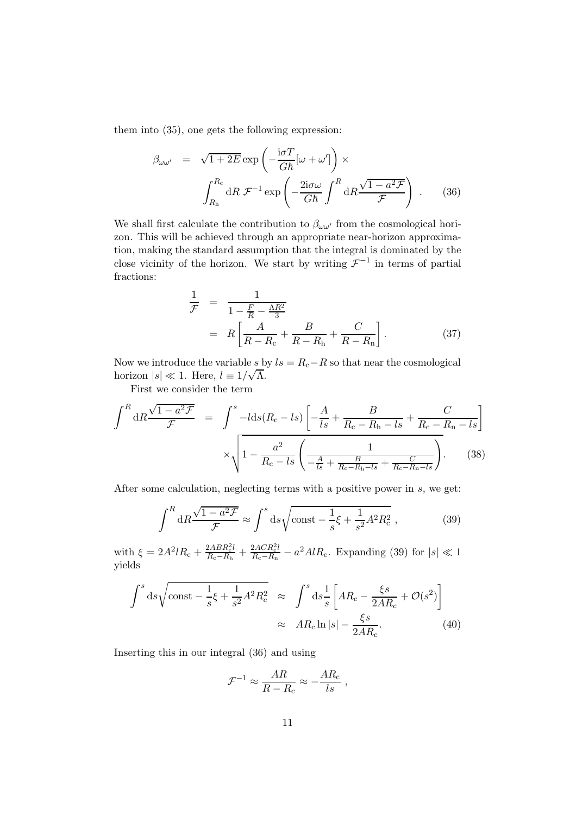them into (35), one gets the following expression:

$$
\beta_{\omega\omega'} = \sqrt{1 + 2E} \exp\left(-\frac{i\sigma T}{G\hbar}[\omega + \omega']\right) \times
$$
\n
$$
\int_{R_{\rm h}}^{R_{\rm c}} dR \mathcal{F}^{-1} \exp\left(-\frac{2i\sigma\omega}{G\hbar} \int^{R} dR \frac{\sqrt{1 - a^2 \mathcal{F}}}{\mathcal{F}}\right) . \tag{36}
$$

We shall first calculate the contribution to  $\beta_{\omega\omega'}$  from the cosmological horizon. This will be achieved through an appropriate near-horizon approximation, making the standard assumption that the integral is dominated by the close vicinity of the horizon. We start by writing  $\mathcal{F}^{-1}$  in terms of partial fractions:

$$
\frac{1}{\mathcal{F}} = \frac{1}{1 - \frac{F}{R} - \frac{\Lambda R^2}{3}}
$$
\n
$$
= R \left[ \frac{A}{R - R_c} + \frac{B}{R - R_h} + \frac{C}{R - R_n} \right].
$$
\n(37)

Now we introduce the variable s by  $ls = R_c - R$  so that near the cosmological horizon  $|s| \ll 1$ . Here,  $l \equiv 1/\sqrt{\Lambda}$ .

First we consider the term

$$
\int^{R} dR \frac{\sqrt{1 - a^2 \mathcal{F}}}{\mathcal{F}} = \int^{s} -l ds (R_c - ls) \left[ -\frac{A}{ls} + \frac{B}{R_c - R_h - ls} + \frac{C}{R_c - R_n - ls} \right] \times \sqrt{1 - \frac{a^2}{R_c - ls} \left( \frac{1}{-\frac{A}{ls} + \frac{B}{R_c - R_h - ls} + \frac{C}{R_c - R_n - ls} \right)}. \tag{38}
$$

After some calculation, neglecting terms with a positive power in s, we get:

$$
\int^R dR \frac{\sqrt{1-a^2\mathcal{F}}}{\mathcal{F}} \approx \int^s d\mathcal{s} \sqrt{\text{const} - \frac{1}{s}\xi + \frac{1}{s^2}A^2R_c^2} ,\qquad (39)
$$

with  $\xi = 2A^2 l R_c + \frac{2A B R_c^2 l}{R_c - R_h} + \frac{2A C R_c^2 l}{R_c - R_h} - a^2 A l R_c$ . Expanding (39) for  $|s| \ll 1$ yields

$$
\int^s ds \sqrt{\text{const} - \frac{1}{s} \xi + \frac{1}{s^2} A^2 R_c^2} \approx \int^s ds \frac{1}{s} \left[ AR_c - \frac{\xi s}{2AR_c} + \mathcal{O}(s^2) \right]
$$

$$
\approx AR_c \ln |s| - \frac{\xi s}{2AR_c}.
$$
(40)

Inserting this in our integral (36) and using

$$
\mathcal{F}^{-1} \approx \frac{AR}{R - R_{\rm c}} \approx -\frac{AR_{\rm c}}{ls} \;,
$$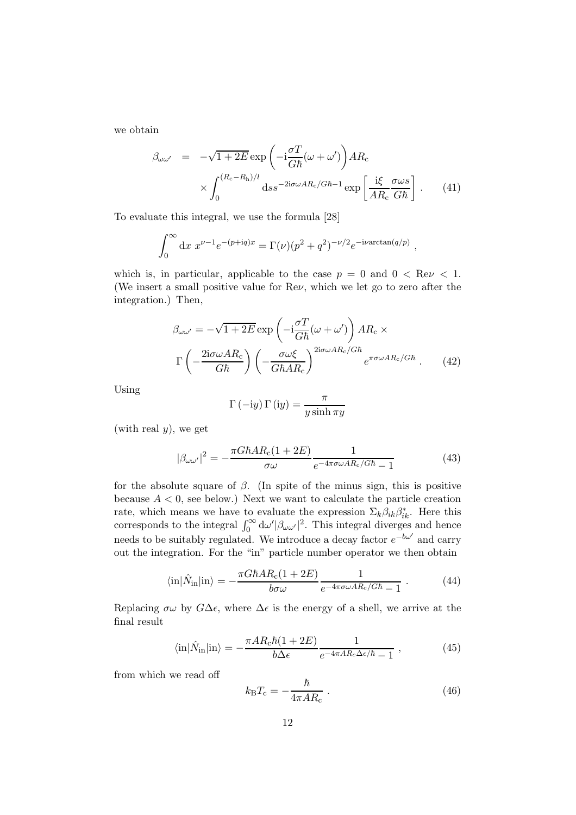we obtain

$$
\beta_{\omega\omega'} = -\sqrt{1+2E} \exp\left(-i\frac{\sigma T}{G\hbar}(\omega+\omega')\right) AR_c
$$

$$
\times \int_0^{(R_c-R_h)/l} ds s^{-2i\sigma\omega AR_c/G\hbar-1} \exp\left[\frac{i\xi}{AR_c}\frac{\sigma\omega s}{G\hbar}\right].
$$
 (41)

To evaluate this integral, we use the formula [28]

$$
\int_0^\infty dx \ x^{\nu-1} e^{-(p+iq)x} = \Gamma(\nu) (p^2 + q^2)^{-\nu/2} e^{-i\nu \arctan(q/p)},
$$

which is, in particular, applicable to the case  $p = 0$  and  $0 < \text{Re}\nu < 1$ . (We insert a small positive value for Reν, which we let go to zero after the integration.) Then,

$$
\beta_{\omega\omega'} = -\sqrt{1+2E} \exp\left(-i\frac{\sigma T}{G\hbar}(\omega+\omega')\right) AR_c \times \Gamma\left(-\frac{2i\sigma\omega AR_c}{G\hbar}\right) \left(-\frac{\sigma\omega\xi}{G\hbar AR_c}\right)^{2i\sigma\omega AR_c/G\hbar} e^{\pi\sigma\omega AR_c/G\hbar}.
$$
 (42)

Using

$$
\Gamma(-\mathrm{i}y)\,\Gamma\left(\mathrm{i}y\right) = \frac{\pi}{y\sinh\pi y}
$$

(with real  $y$ ), we get

$$
|\beta_{\omega\omega'}|^2 = -\frac{\pi G\hbar AR_c(1+2E)}{\sigma\omega} \frac{1}{e^{-4\pi\sigma\omega AR_c/G\hbar} - 1}
$$
(43)

for the absolute square of  $\beta$ . (In spite of the minus sign, this is positive because  $A < 0$ , see below.) Next we want to calculate the particle creation rate, which means we have to evaluate the expression  $\Sigma_k \hat{\beta}_{ik} \beta^*_{ik}$ . Here this corresponds to the integral  $\int_0^\infty d\omega' |\beta_{\omega \omega'}|^2$ . This integral diverges and hence needs to be suitably regulated. We introduce a decay factor  $e^{-b\omega'}$  and carry out the integration. For the "in" particle number operator we then obtain

$$
\langle \text{in} | \hat{N}_{\text{in}} | \text{in} \rangle = -\frac{\pi G \hbar A R_{\text{c}} (1 + 2E)}{b \sigma \omega} \frac{1}{e^{-4\pi \sigma \omega A R_{\text{c}}/G \hbar} - 1} \,. \tag{44}
$$

Replacing  $\sigma\omega$  by  $G\Delta\epsilon$ , where  $\Delta\epsilon$  is the energy of a shell, we arrive at the final result

$$
\langle \text{in} | \hat{N}_{\text{in}} | \text{in} \rangle = -\frac{\pi AR_c \hbar (1 + 2E)}{b \Delta \epsilon} \frac{1}{e^{-4\pi AR_c \Delta \epsilon/\hbar} - 1} , \qquad (45)
$$

from which we read off

$$
k_{\rm B}T_{\rm c} = -\frac{\hbar}{4\pi AR_{\rm c}}\,. \tag{46}
$$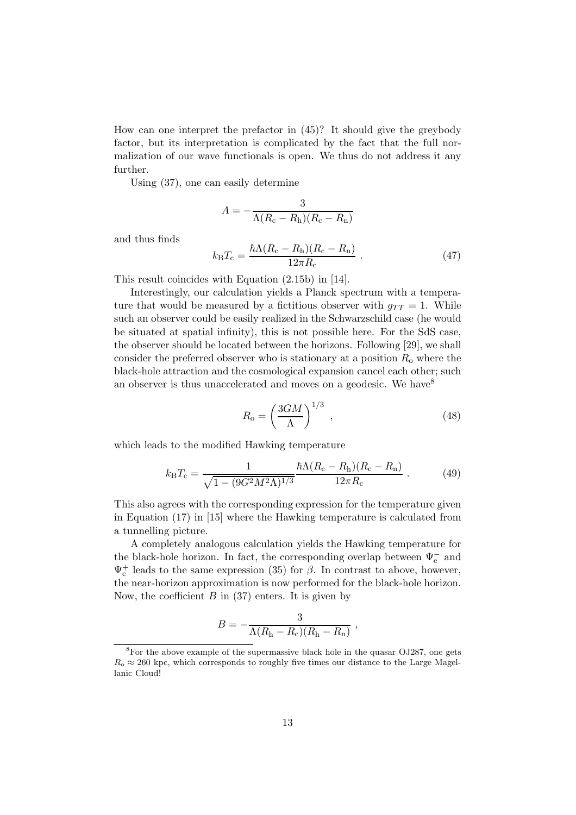How can one interpret the prefactor in (45)? It should give the greybody factor, but its interpretation is complicated by the fact that the full normalization of our wave functionals is open. We thus do not address it any further.

Using (37), one can easily determine

$$
A = -\frac{3}{\Lambda(R_{\rm c}-R_{\rm h})(R_{\rm c}-R_{\rm n})}
$$

and thus finds

$$
k_{\rm B}T_{\rm c} = \frac{\hbar\Lambda (R_{\rm c} - R_{\rm h})(R_{\rm c} - R_{\rm n})}{12\pi R_{\rm c}}\,. \tag{47}
$$

This result coincides with Equation (2.15b) in [14].

Interestingly, our calculation yields a Planck spectrum with a temperature that would be measured by a fictitious observer with  $g_{TT} = 1$ . While such an observer could be easily realized in the Schwarzschild case (he would be situated at spatial infinity), this is not possible here. For the SdS case, the observer should be located between the horizons. Following [29], we shall consider the preferred observer who is stationary at a position  $R_0$  where the black-hole attraction and the cosmological expansion cancel each other; such an observer is thus unaccelerated and moves on a geodesic. We have  $8^8$ 

$$
R_{\rm o} = \left(\frac{3GM}{\Lambda}\right)^{1/3} \,,\tag{48}
$$

which leads to the modified Hawking temperature

$$
k_{\rm B}T_{\rm c} = \frac{1}{\sqrt{1 - (9G^2M^2\Lambda)^{1/3}}} \frac{\hbar\Lambda (R_{\rm c} - R_{\rm h})(R_{\rm c} - R_{\rm n})}{12\pi R_{\rm c}}\,. \tag{49}
$$

This also agrees with the corresponding expression for the temperature given in Equation (17) in [15] where the Hawking temperature is calculated from a tunnelling picture.

A completely analogous calculation yields the Hawking temperature for the black-hole horizon. In fact, the corresponding overlap between  $\Psi_{\rm e}^-$  and  $\Psi_c^+$  leads to the same expression (35) for  $\beta$ . In contrast to above, however, the near-horizon approximation is now performed for the black-hole horizon. Now, the coefficient  $B$  in (37) enters. It is given by

$$
B = -\frac{3}{\Lambda(R_{\rm h}-R_{\rm c})(R_{\rm h}-R_{\rm n})},
$$

 ${}^{8}$ For the above example of the supermassive black hole in the quasar OJ287, one gets  $R_{\rm o} \approx 260$  kpc, which corresponds to roughly five times our distance to the Large Magellanic Cloud!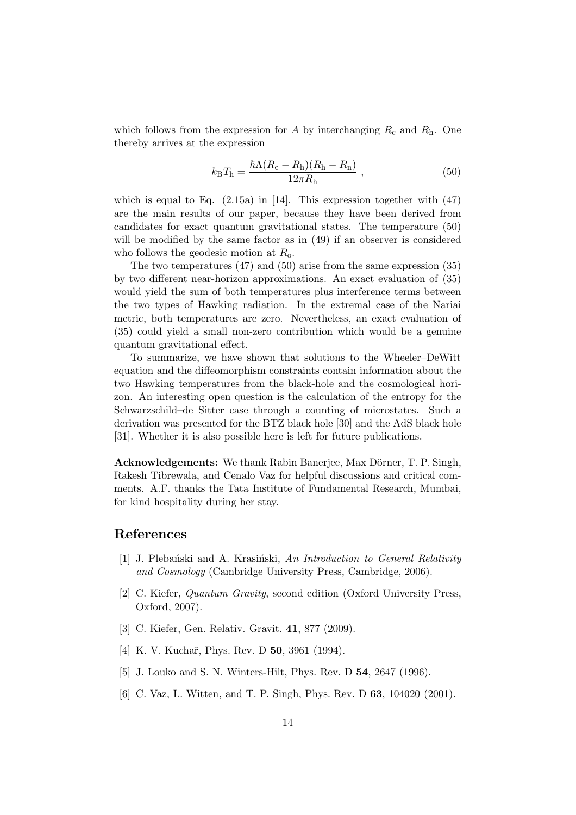which follows from the expression for A by interchanging  $R_c$  and  $R_h$ . One thereby arrives at the expression

$$
k_{\rm B}T_{\rm h} = \frac{\hbar\Lambda (R_{\rm c} - R_{\rm h})(R_{\rm h} - R_{\rm n})}{12\pi R_{\rm h}}\,,\tag{50}
$$

which is equal to Eq.  $(2.15a)$  in [14]. This expression together with  $(47)$ are the main results of our paper, because they have been derived from candidates for exact quantum gravitational states. The temperature (50) will be modified by the same factor as in  $(49)$  if an observer is considered who follows the geodesic motion at  $R_0$ .

The two temperatures (47) and (50) arise from the same expression (35) by two different near-horizon approximations. An exact evaluation of (35) would yield the sum of both temperatures plus interference terms between the two types of Hawking radiation. In the extremal case of the Nariai metric, both temperatures are zero. Nevertheless, an exact evaluation of (35) could yield a small non-zero contribution which would be a genuine quantum gravitational effect.

To summarize, we have shown that solutions to the Wheeler–DeWitt equation and the diffeomorphism constraints contain information about the two Hawking temperatures from the black-hole and the cosmological horizon. An interesting open question is the calculation of the entropy for the Schwarzschild–de Sitter case through a counting of microstates. Such a derivation was presented for the BTZ black hole [30] and the AdS black hole [31]. Whether it is also possible here is left for future publications.

Acknowledgements: We thank Rabin Banerjee, Max Dörner, T. P. Singh, Rakesh Tibrewala, and Cenalo Vaz for helpful discussions and critical comments. A.F. thanks the Tata Institute of Fundamental Research, Mumbai, for kind hospitality during her stay.

## References

- [1] J. Plebański and A. Krasiński, An Introduction to General Relativity and Cosmology (Cambridge University Press, Cambridge, 2006).
- [2] C. Kiefer, Quantum Gravity, second edition (Oxford University Press, Oxford, 2007).
- [3] C. Kiefer, Gen. Relativ. Gravit. 41, 877 (2009).
- [4] K. V. Kuchař, Phys. Rev. D **50**, 3961 (1994).
- [5] J. Louko and S. N. Winters-Hilt, Phys. Rev. D 54, 2647 (1996).
- [6] C. Vaz, L. Witten, and T. P. Singh, Phys. Rev. D 63, 104020 (2001).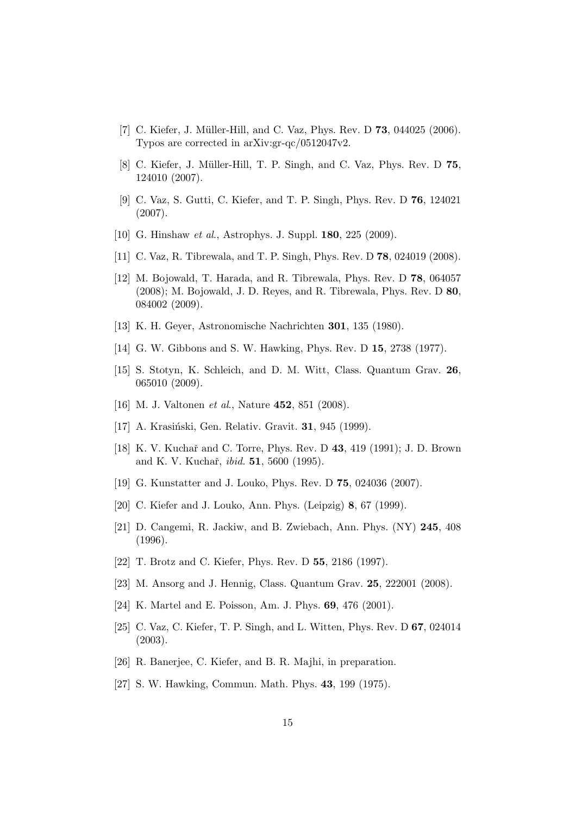- [7] C. Kiefer, J. Müller-Hill, and C. Vaz, Phys. Rev. D **73**, 044025 (2006). Typos are corrected in arXiv:gr-qc/0512047v2.
- [8] C. Kiefer, J. Müller-Hill, T. P. Singh, and C. Vaz, Phys. Rev. D 75, 124010 (2007).
- [9] C. Vaz, S. Gutti, C. Kiefer, and T. P. Singh, Phys. Rev. D 76, 124021 (2007).
- [10] G. Hinshaw et al., Astrophys. J. Suppl. **180**, 225 (2009).
- [11] C. Vaz, R. Tibrewala, and T. P. Singh, Phys. Rev. D 78, 024019 (2008).
- [12] M. Bojowald, T. Harada, and R. Tibrewala, Phys. Rev. D 78, 064057 (2008); M. Bojowald, J. D. Reyes, and R. Tibrewala, Phys. Rev. D 80, 084002 (2009).
- [13] K. H. Geyer, Astronomische Nachrichten 301, 135 (1980).
- [14] G. W. Gibbons and S. W. Hawking, Phys. Rev. D 15, 2738 (1977).
- [15] S. Stotyn, K. Schleich, and D. M. Witt, Class. Quantum Grav. 26, 065010 (2009).
- [16] M. J. Valtonen *et al.*, Nature **452**, 851 (2008).
- [17] A. Krasiński, Gen. Relativ. Gravit. **31**, 945 (1999).
- [18] K. V. Kuchař and C. Torre, Phys. Rev. D 43, 419 (1991); J. D. Brown and K. V. Kuchař, *ibid.* **51**, 5600 (1995).
- [19] G. Kunstatter and J. Louko, Phys. Rev. D 75, 024036 (2007).
- [20] C. Kiefer and J. Louko, Ann. Phys. (Leipzig) 8, 67 (1999).
- [21] D. Cangemi, R. Jackiw, and B. Zwiebach, Ann. Phys. (NY) 245, 408 (1996).
- [22] T. Brotz and C. Kiefer, Phys. Rev. D 55, 2186 (1997).
- [23] M. Ansorg and J. Hennig, Class. Quantum Grav. 25, 222001 (2008).
- [24] K. Martel and E. Poisson, Am. J. Phys. 69, 476 (2001).
- [25] C. Vaz, C. Kiefer, T. P. Singh, and L. Witten, Phys. Rev. D 67, 024014 (2003).
- [26] R. Banerjee, C. Kiefer, and B. R. Majhi, in preparation.
- [27] S. W. Hawking, Commun. Math. Phys. **43**, 199 (1975).